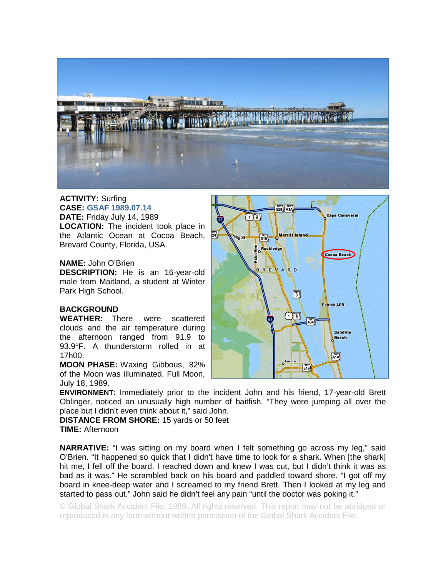

## **ACTIVITY:** Surfing **CASE: GSAF 1989.07.14**

**DATE:** Friday July 14, 1989 **LOCATION:** The incident took place in the Atlantic Ocean at Cocoa Beach, Brevard County, Florida, USA.

## **NAME:** John O'Brien

**DESCRIPTION:** He is an 16-year-old male from Maitland, a student at Winter Park High School.

## **BACKGROUND**

**WEATHER:** There were scattered clouds and the air temperature during the afternoon ranged from 91.9 to 93.9°F. A thunderstorm rolled in at 17h00.

**MOON PHASE:** Waxing Gibbous, 82% of the Moon was illuminated. Full Moon, July 18, 1989.



**ENVIRONMENT:** Immediately prior to the incident John and his friend, 17-year-old Brett Oblinger, noticed an unusually high number of baitfish. "They were jumping all over the place but I didn't even think about it," said John.

**DISTANCE FROM SHORE:** 15 yards or 50 feet **TIME:** Afternoon

**NARRATIVE:** "I was sitting on my board when I felt something go across my leg," said O'Brien. "It happened so quick that I didn't have time to look for a shark. When [the shark] hit me, I fell off the board. I reached down and knew I was cut, but I didn't think it was as bad as it was." He scrambled back on his board and paddled toward shore. "I got off my board in knee-deep water and I screamed to my friend Brett. Then I looked at my leg and started to pass out." John said he didn't feel any pain "until the doctor was poking it."

© Global Shark Accident File, 1989. All rights reserved. This report may not be abridged or reproduced in any form without written permission of the Global Shark Accident File.